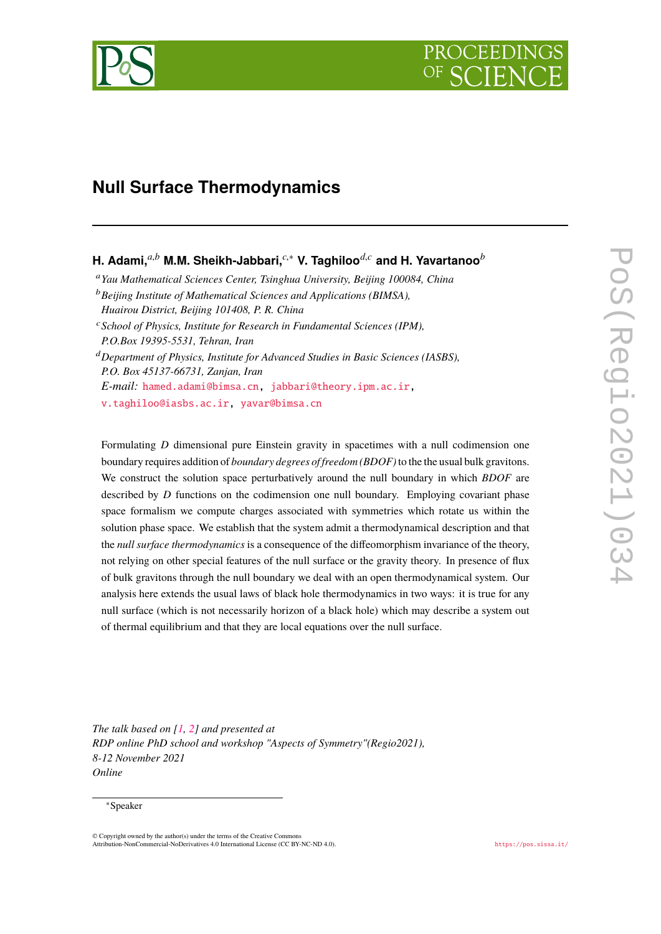

# **Null Surface Thermodynamics**

**H. Adami,***a*,*<sup>b</sup>* **M.M. Sheikh-Jabbari,***c*,<sup>∗</sup> **V. Taghiloo***d*,*<sup>c</sup>* **and H. Yavartanoo***<sup>b</sup>*

<sup>a</sup>*Yau Mathematical Sciences Center, Tsinghua University, Beijing 100084, China*

<sup>b</sup>*Beijing Institute of Mathematical Sciences and Applications (BIMSA), Huairou District, Beijing 101408, P. R. China*

<sup>c</sup>*School of Physics, Institute for Research in Fundamental Sciences (IPM), P.O.Box 19395-5531, Tehran, Iran*

<sup>d</sup>*Department of Physics, Institute for Advanced Studies in Basic Sciences (IASBS), P.O. Box 45137-66731, Zanjan, Iran E-mail:* [hamed.adami@bimsa.cn](mailto:hamed.adami@bimsa.cn), [jabbari@theory.ipm.ac.ir](mailto:jabbari@theory.ipm.ac.ir),

[v.taghiloo@iasbs.ac.ir](mailto:v.taghiloo@iasbs.ac.ir), [yavar@bimsa.cn](mailto:yavar@bimsa.cn)

Formulating *D* dimensional pure Einstein gravity in spacetimes with a null codimension one boundary requires addition of *boundary degrees of freedom (BDOF)*to the the usual bulk gravitons. We construct the solution space perturbatively around the null boundary in which *BDOF* are described by *D* functions on the codimension one null boundary. Employing covariant phase space formalism we compute charges associated with symmetries which rotate us within the solution phase space. We establish that the system admit a thermodynamical description and that the *null surface thermodynamics* is a consequence of the diffeomorphism invariance of the theory, not relying on other special features of the null surface or the gravity theory. In presence of flux of bulk gravitons through the null boundary we deal with an open thermodynamical system. Our analysis here extends the usual laws of black hole thermodynamics in two ways: it is true for any null surface (which is not necessarily horizon of a black hole) which may describe a system out of thermal equilibrium and that they are local equations over the null surface.

*The talk based on [\[1](#page-10-0), [2](#page-10-1)] and presented at RDP online PhD school and workshop "Aspects of Symmetry"(Regio2021), 8-12 November 2021 Online*

#### <sup>∗</sup>Speaker

 $\odot$  Copyright owned by the author(s) under the terms of the Creative Common Attribution-NonCommercial-NoDerivatives 4.0 International License (CC BY-NC-ND 4.0). <https://pos.sissa.it/>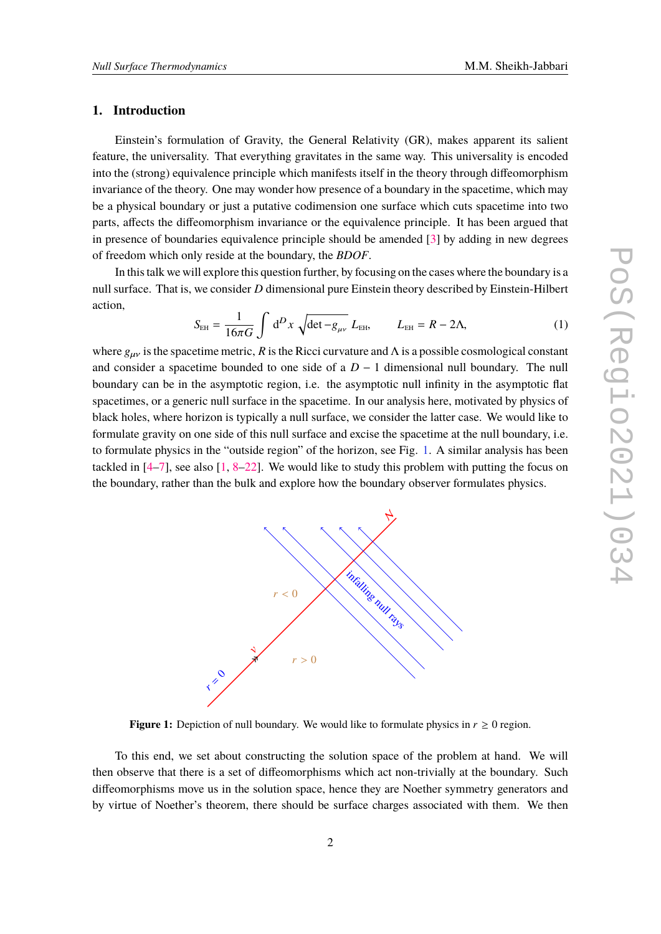## **1. Introduction**

Einstein's formulation of Gravity, the General Relativity (GR), makes apparent its salient feature, the universality. That everything gravitates in the same way. This universality is encoded into the (strong) equivalence principle which manifests itself in the theory through diffeomorphism invariance of the theory. One may wonder how presence of a boundary in the spacetime, which may be a physical boundary or just a putative codimension one surface which cuts spacetime into two parts, affects the diffeomorphism invariance or the equivalence principle. It has been argued that in presence of boundaries equivalence principle should be amended [[3](#page-10-2)] by adding in new degrees of freedom which only reside at the boundary, the *BDOF*.

In this talk we will explore this question further, by focusing on the cases where the boundary is a null surface. That is, we consider *D* dimensional pure Einstein theory described by Einstein-Hilbert action,

$$
S_{EH} = \frac{1}{16\pi G} \int d^D x \sqrt{\det - g_{\mu\nu}} L_{EH}, \qquad L_{EH} = R - 2\Lambda,
$$
 (1)

where  $g_{\mu\nu}$  is the spacetime metric, *R* is the Ricci curvature and  $\Lambda$  is a possible cosmological constant and consider a spacetime bounded to one side of a  $D-1$  dimensional null boundary. The null boundary can be in the asymptotic region, i.e. the asymptotic null infinity in the asymptotic flat spacetimes, or a generic null surface in the spacetime. In our analysis here, motivated by physics of black holes, where horizon is typically a null surface, we consider the latter case. We would like to formulate gravity on one side of this null surface and excise the spacetime at the null boundary, i.e. to formulate physics in the "outside region" of the horizon, see Fig. [1](#page-1-0). A similar analysis has been tackled in  $[4–7]$  $[4–7]$ , see also  $[1, 8–22]$  $[1, 8–22]$  $[1, 8–22]$  $[1, 8–22]$  $[1, 8–22]$  $[1, 8–22]$  $[1, 8–22]$ . We would like to study this problem with putting the focus on the boundary, rather than the bulk and explore how the boundary observer formulates physics.

<span id="page-1-0"></span>

**Figure 1:** Depiction of null boundary. We would like to formulate physics in  $r \geq 0$  region.

To this end, we set about constructing the solution space of the problem at hand. We will then observe that there is a set of diffeomorphisms which act non-trivially at the boundary. Such diffeomorphisms move us in the solution space, hence they are Noether symmetry generators and by virtue of Noether's theorem, there should be surface charges associated with them. We then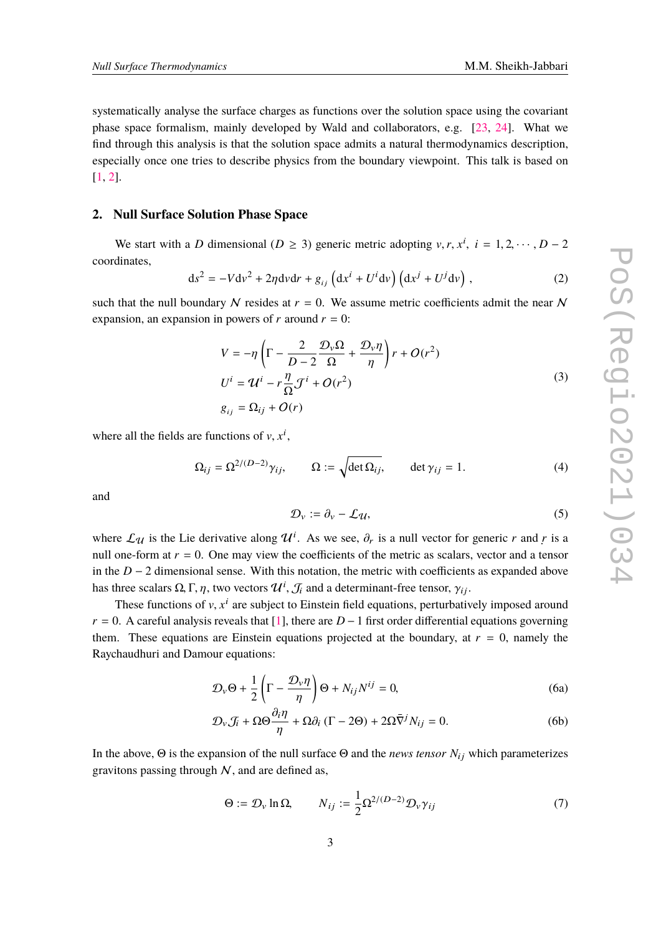systematically analyse the surface charges as functions over the solution space using the covariant phase space formalism, mainly developed by Wald and collaborators, e.g. [\[23](#page-11-1), [24](#page-11-2)]. What we find through this analysis is that the solution space admits a natural thermodynamics description, especially once one tries to describe physics from the boundary viewpoint. This talk is based on [[1](#page-10-0), [2](#page-10-1)].

## **2. Null Surface Solution Phase Space**

We start with a *D* dimensional ( $D \ge 3$ ) generic metric adopting  $v, r, x^i$ ,  $i = 1, 2, \dots, D - 2$ coordinates,

<span id="page-2-1"></span>
$$
ds^{2} = -Vdv^{2} + 2\eta dv dr + g_{ij} \left( dx^{i} + U^{i} dv \right) \left( dx^{j} + U^{j} dv \right), \qquad (2)
$$

such that the null boundary  $N$  resides at  $r = 0$ . We assume metric coefficients admit the near  $N$ expansion, an expansion in powers of  $r$  around  $r = 0$ :

$$
V = -\eta \left( \Gamma - \frac{2}{D - 2} \frac{\mathcal{D}_v \Omega}{\Omega} + \frac{\mathcal{D}_v \eta}{\eta} \right) r + O(r^2)
$$
  
\n
$$
U^i = \mathcal{U}^i - r \frac{\eta}{\Omega} \mathcal{J}^i + O(r^2)
$$
  
\n
$$
g_{ij} = \Omega_{ij} + O(r)
$$
\n(3)

where all the fields are functions of  $v, x^i$ ,

$$
\Omega_{ij} = \Omega^{2/(D-2)} \gamma_{ij}, \qquad \Omega := \sqrt{\det \Omega_{ij}}, \qquad \det \gamma_{ij} = 1.
$$
 (4)

and

$$
\mathcal{D}_v := \partial_v - \mathcal{L}\mathcal{U},\tag{5}
$$

where  $\mathcal{L}_{\mathcal{U}}$  is the Lie derivative along  $\mathcal{U}^i$ . As we see,  $\partial_r$  is a null vector for generic *r* and *r* is a null one-form at  $r = 0$ . One may view the coefficients of the metric as scalars, vector and a tensor in the  $D - 2$  dimensional sense. With this notation, the metric with coefficients as expanded above has three scalars  $\Omega, \Gamma, \eta,$  two vectors  $\mathcal{U}^i, \mathcal{J}_i$  and a determinant-free tensor,  $\gamma_{ij}.$ 

These functions of v, x<sup>i</sup> are subject to Einstein field equations, perturbatively imposed around  $r = 0$ . A careful analysis reveals that [\[1\]](#page-10-0), there are  $D-1$  first order differential equations governing them. These equations are Einstein equations projected at the boundary, at  $r = 0$ , namely the Raychaudhuri and Damour equations:

<span id="page-2-0"></span>
$$
\mathcal{D}_{\nu}\Theta + \frac{1}{2}\left(\Gamma - \frac{\mathcal{D}_{\nu}\eta}{\eta}\right)\Theta + N_{ij}N^{ij} = 0,
$$
\n(6a)

$$
\mathcal{D}_{\nu}\mathcal{J}_{i} + \Omega\Theta\frac{\partial_{i}\eta}{\eta} + \Omega\partial_{i}\left(\Gamma - 2\Theta\right) + 2\Omega\bar{\nabla}^{j}N_{ij} = 0.
$$
 (6b)

In the above,  $\Theta$  is the expansion of the null surface  $\Theta$  and the *news tensor*  $N_{ij}$  which parameterizes gravitons passing through  $N$ , and are defined as,

$$
\Theta := \mathcal{D}_{\nu} \ln \Omega, \qquad N_{ij} := \frac{1}{2} \Omega^{2/(D-2)} \mathcal{D}_{\nu} \gamma_{ij} \tag{7}
$$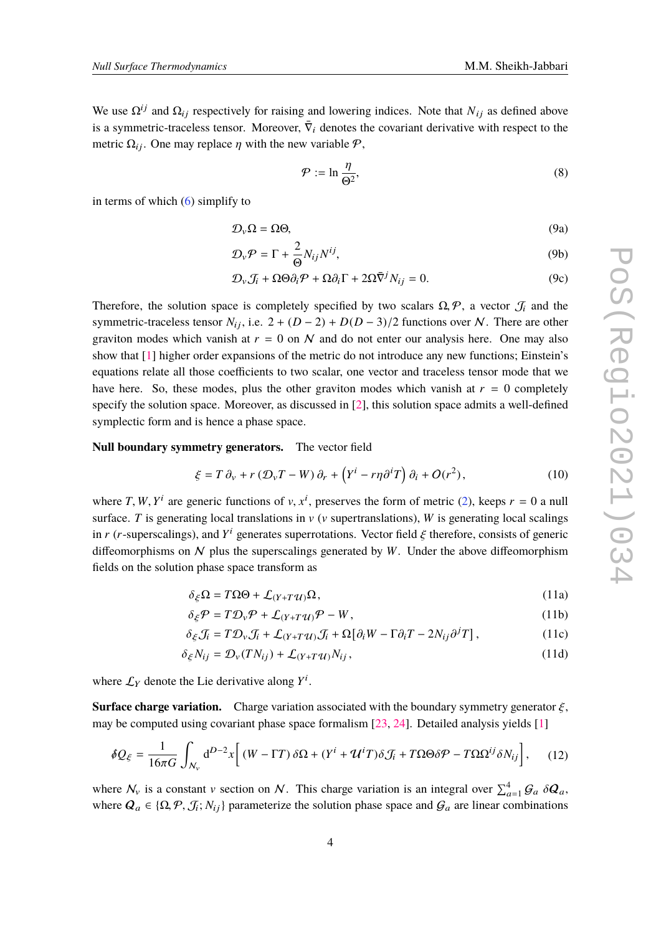We use  $\Omega^{ij}$  and  $\Omega_{ij}$  respectively for raising and lowering indices. Note that  $N_{ij}$  as defined above is a symmetric-traceless tensor. Moreover,  $\bar{\nabla}_i$  denotes the covariant derivative with respect to the metric  $\Omega_{ij}$ . One may replace  $\eta$  with the new variable  $\mathcal{P}$ ,

$$
\mathcal{P} := \ln \frac{\eta}{\Theta^2},\tag{8}
$$

in terms of which [\(6\)](#page-2-0) simplify to

<span id="page-3-0"></span>
$$
\mathcal{D}_{\nu}\Omega = \Omega\Theta,\tag{9a}
$$

$$
\mathcal{D}_{\nu}\mathcal{P} = \Gamma + \frac{2}{\Theta} N_{ij} N^{ij},\tag{9b}
$$

$$
\mathcal{D}_{\nu}\mathcal{J}_{i} + \Omega\Theta\partial_{i}\mathcal{P} + \Omega\partial_{i}\Gamma + 2\Omega\overline{\nabla}^{j}N_{ij} = 0.
$$
 (9c)

Therefore, the solution space is completely specified by two scalars  $\Omega$ ,  $\mathcal{P}$ , a vector  $\mathcal{J}_i$  and the symmetric-traceless tensor  $N_{ij}$ , i.e.  $2 + (D-2) + D(D-3)/2$  functions over N. There are other graviton modes which vanish at  $r = 0$  on N and do not enter our analysis here. One may also show that [[1](#page-10-0)] higher order expansions of the metric do not introduce any new functions; Einstein's equations relate all those coefficients to two scalar, one vector and traceless tensor mode that we have here. So, these modes, plus the other graviton modes which vanish at  $r = 0$  completely specify the solution space. Moreover, as discussed in [[2](#page-10-1)], this solution space admits a well-defined symplectic form and is hence a phase space.

**Null boundary symmetry generators.** The vector field

$$
\xi = T \partial_v + r \left( \mathcal{D}_v T - W \right) \partial_r + \left( Y^i - r \eta \partial^i T \right) \partial_i + O(r^2), \tag{10}
$$

where *T*, *W*, *Y*<sup>*i*</sup> are generic functions of *v*, *x*<sup>*i*</sup>, preserves the form of metric [\(2\)](#page-2-1), keeps *r* = 0 a null surface. *T* is generating local translations in  $v$  ( $v$  supertranslations), *W* is generating local scalings in *r* (*r*-superscalings), and  $Y^i$  generates superrotations. Vector field  $\xi$  therefore, consists of generic diffeomorphisms on  $N$  plus the superscalings generated by  $W$ . Under the above diffeomorphism fields on the solution phase space transform as

$$
\delta_{\xi}\Omega = T\Omega\Theta + \mathcal{L}_{(Y+T\mathcal{U})}\Omega,\tag{11a}
$$

$$
\delta_{\xi} \mathcal{P} = T \mathcal{D}_{\nu} \mathcal{P} + \mathcal{L}_{(Y+T\mathcal{U})} \mathcal{P} - W, \qquad (11b)
$$

$$
\delta_{\xi} \mathcal{J}_i = T \mathcal{D}_{v} \mathcal{J}_i + \mathcal{L}_{(Y+T\mathcal{U})} \mathcal{J}_i + \Omega \big[ \partial_i W - \Gamma \partial_i T - 2N_{ij} \partial^j T \big], \tag{11c}
$$

$$
\delta_{\xi} N_{ij} = \mathcal{D}_{\nu}(T N_{ij}) + \mathcal{L}_{(Y+T\mathcal{U})} N_{ij},\tag{11d}
$$

where  $\mathcal{L}_Y$  denote the Lie derivative along  $Y^i$ .

**Surface charge variation.** Charge variation associated with the boundary symmetry generator  $\xi$ , may be computed using covariant phase space formalism [\[23,](#page-11-1) [24](#page-11-2)]. Detailed analysis yields [\[1\]](#page-10-0)

<span id="page-3-1"></span>
$$
\delta Q_{\xi} = \frac{1}{16\pi G} \int_{N_v} d^{D-2}x \left[ (W - \Gamma T) \, \delta \Omega + (Y^i + \mathcal{U}^i T) \delta \mathcal{J}_i + T \Omega \Theta \delta \mathcal{P} - T \Omega \Omega^{ij} \delta N_{ij} \right], \tag{12}
$$

where  $\mathcal{N}_v$  is a constant v section on  $\mathcal{N}$ . This charge variation is an integral over  $\sum_{a=1}^{4} \mathcal{G}_a \delta \mathcal{Q}_a$ , where  $Q_a \in \{ \Omega, \mathcal{P}, \mathcal{J}_i; N_{ij} \}$  parameterize the solution phase space and  $\mathcal{G}_a$  are linear combinations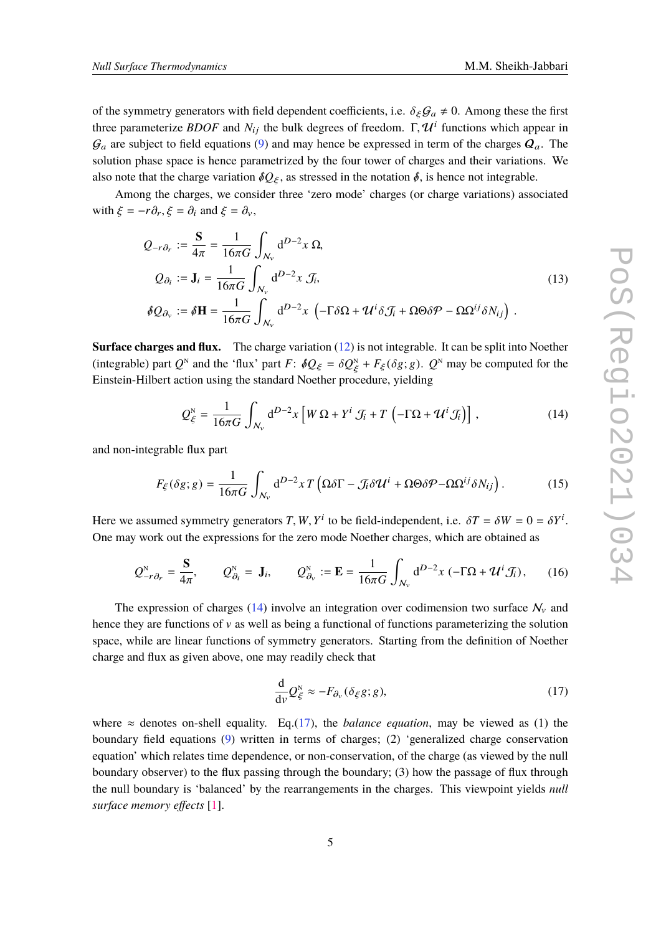of the symmetry generators with field dependent coefficients, i.e.  $\delta_{\epsilon} \mathcal{G}_a \neq 0$ . Among these the first three parameterize *BDOF* and  $N_{ij}$  the bulk degrees of freedom.  $\Gamma$ ,  $\mathcal{U}^i$  functions which appear in  $\mathcal{G}_a$  are subject to field equations ([9](#page-3-0)) and may hence be expressed in term of the charges  $\mathcal{Q}_a$ . The solution phase space is hence parametrized by the four tower of charges and their variations. We also note that the charge variation  $\delta Q_{\xi}$ , as stressed in the notation  $\delta$ , is hence not integrable.

Among the charges, we consider three 'zero mode' charges (or charge variations) associated with  $\xi = -r\partial_r$ ,  $\xi = \partial_i$  and  $\xi = \partial_v$ ,

<span id="page-4-3"></span>
$$
Q_{-r\partial_r} := \frac{\mathbf{S}}{4\pi} = \frac{1}{16\pi G} \int_{N_v} d^{D-2}x \, \Omega,
$$
  
\n
$$
Q_{\partial_i} := \mathbf{J}_i = \frac{1}{16\pi G} \int_{N_v} d^{D-2}x \, \mathcal{J}_i,
$$
  
\n
$$
\delta Q_{\partial_v} := \delta \mathbf{H} = \frac{1}{16\pi G} \int_{N_v} d^{D-2}x \, \left( -\Gamma \delta \Omega + \mathcal{U}^i \delta \mathcal{J}_i + \Omega \Theta \delta \mathcal{P} - \Omega \Omega^{ij} \delta N_{ij} \right).
$$
\n(13)

**Surface charges and flux.** The charge variation ([12\)](#page-3-1) is not integrable. It can be split into Noether (integrable) part *Q*<sup>N</sup> and the 'flux' part *F*:  $\delta Q_{\xi} = \delta Q_{\xi}^N + F_{\xi}(\delta g; g)$ . *Q*<sup>N</sup> may be computed for the Einstein-Hilbert action using the standard Noether procedure, yielding

<span id="page-4-0"></span>
$$
Q_{\xi}^{\mathcal{N}} = \frac{1}{16\pi G} \int_{N_{\mathcal{V}}} d^{D-2}x \left[ W \Omega + Y^{i} \mathcal{J}_{i} + T \left( -\Gamma \Omega + \mathcal{U}^{i} \mathcal{J}_{i} \right) \right], \tag{14}
$$

and non-integrable flux part

<span id="page-4-2"></span>
$$
F_{\xi}(\delta g; g) = \frac{1}{16\pi G} \int_{N_v} d^{D-2}x T \left( \Omega \delta \Gamma - \mathcal{J}_i \delta \mathcal{U}^i + \Omega \Theta \delta \mathcal{P} - \Omega \Omega^{ij} \delta N_{ij} \right). \tag{15}
$$

Here we assumed symmetry generators *T*, *W*,  $Y^i$  to be field-independent, i.e.  $\delta T = \delta W = 0 = \delta Y^i$ . One may work out the expressions for the zero mode Noether charges, which are obtained as

<span id="page-4-4"></span>
$$
Q_{-r\partial_r}^{\mathcal{N}} = \frac{\mathbf{S}}{4\pi}, \qquad Q_{\partial_i}^{\mathcal{N}} = \mathbf{J}_i, \qquad Q_{\partial_\mathcal{V}}^{\mathcal{N}} := \mathbf{E} = \frac{1}{16\pi G} \int_{\mathcal{N}_{\mathcal{V}}} d^{D-2}x \left( -\Gamma \Omega + \mathcal{U}^i \mathcal{J}_i \right), \qquad (16)
$$

The expression of charges [\(14](#page-4-0)) involve an integration over codimension two surface  $N_v$  and hence they are functions of  $\nu$  as well as being a functional of functions parameterizing the solution space, while are linear functions of symmetry generators. Starting from the definition of Noether charge and flux as given above, one may readily check that

<span id="page-4-1"></span>
$$
\frac{\mathrm{d}}{\mathrm{d}v}Q_{\xi}^{\mathrm{N}} \approx -F_{\partial_{v}}(\delta_{\xi}g;g),\tag{17}
$$

where  $\approx$  denotes on-shell equality. Eq.([17\)](#page-4-1), the *balance equation*, may be viewed as (1) the boundary field equations ([9](#page-3-0)) written in terms of charges; (2) 'generalized charge conservation equation' which relates time dependence, or non-conservation, of the charge (as viewed by the null boundary observer) to the flux passing through the boundary; (3) how the passage of flux through the null boundary is 'balanced' by the rearrangements in the charges. This viewpoint yields *null surface memory effects* [\[1\]](#page-10-0).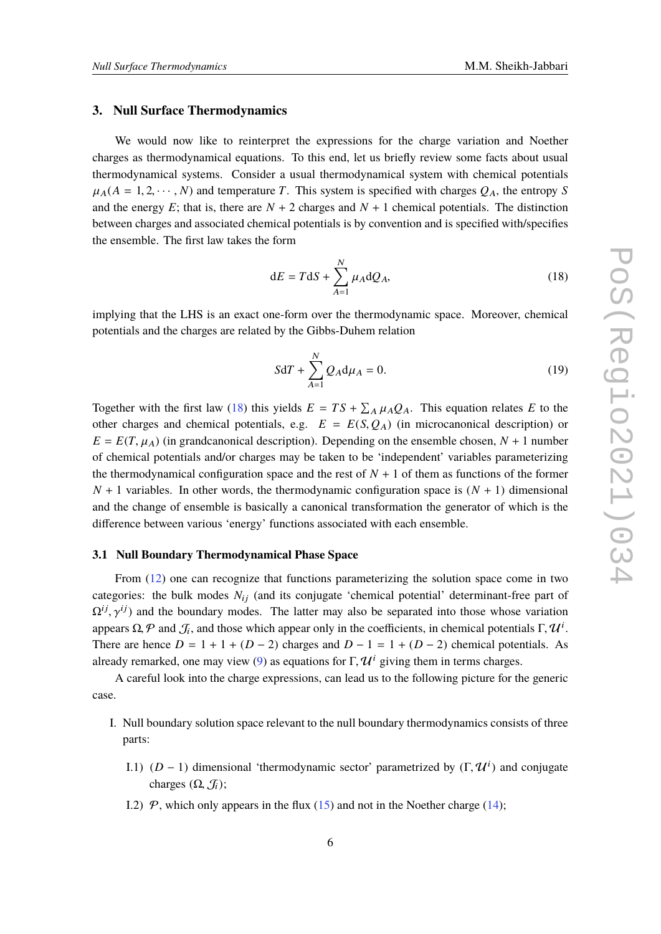#### **3. Null Surface Thermodynamics**

We would now like to reinterpret the expressions for the charge variation and Noether charges as thermodynamical equations. To this end, let us briefly review some facts about usual thermodynamical systems. Consider a usual thermodynamical system with chemical potentials  $\mu_A(A = 1, 2, \dots, N)$  and temperature *T*. This system is specified with charges  $Q_A$ , the entropy *S* and the energy  $E$ ; that is, there are  $N + 2$  charges and  $N + 1$  chemical potentials. The distinction between charges and associated chemical potentials is by convention and is specified with/specifies the ensemble. The first law takes the form

<span id="page-5-0"></span>
$$
dE = TdS + \sum_{A=1}^{N} \mu_A dQ_A, \qquad (18)
$$

implying that the LHS is an exact one-form over the thermodynamic space. Moreover, chemical potentials and the charges are related by the Gibbs-Duhem relation

$$
SdT + \sum_{A=1}^{N} Q_A d\mu_A = 0.
$$
 (19)

Together with the first law [\(18](#page-5-0)) this yields  $E = TS + \sum_A \mu_A Q_A$ . This equation relates *E* to the other charges and chemical potentials, e.g.  $E = E(S, Q_A)$  (in microcanonical description) or  $E = E(T, \mu_A)$  (in grandcanonical description). Depending on the ensemble chosen,  $N + 1$  number of chemical potentials and/or charges may be taken to be 'independent' variables parameterizing the thermodynamical configuration space and the rest of  $N + 1$  of them as functions of the former  $N + 1$  variables. In other words, the thermodynamic configuration space is  $(N + 1)$  dimensional and the change of ensemble is basically a canonical transformation the generator of which is the difference between various 'energy' functions associated with each ensemble.

#### <span id="page-5-1"></span>**3.1 Null Boundary Thermodynamical Phase Space**

From ([12\)](#page-3-1) one can recognize that functions parameterizing the solution space come in two categories: the bulk modes  $N_{ij}$  (and its conjugate 'chemical potential' determinant-free part of  $\Omega^{ij}$ ,  $\gamma^{ij}$ ) and the boundary modes. The latter may also be separated into those whose variation appears  $\Omega$ ,  $P$  and  $\mathcal{J}_i$ , and those which appear only in the coefficients, in chemical potentials  $\Gamma$ ,  $\mathcal{U}^i$ . There are hence  $D = 1 + 1 + (D - 2)$  charges and  $D - 1 = 1 + (D - 2)$  chemical potentials. As already remarked, one may view ([9\)](#page-3-0) as equations for  $\Gamma$ ,  $\mathcal{U}^i$  giving them in terms charges.

A careful look into the charge expressions, can lead us to the following picture for the generic case.

- I. Null boundary solution space relevant to the null boundary thermodynamics consists of three parts:
	- I.1) (*D* − 1) dimensional 'thermodynamic sector' parametrized by  $(Γ, Ψ<sup>i</sup>)$  and conjugate charges  $(\Omega, \mathcal{J}_i)$ ;
	- I.2)  $\mathcal{P}$ , which only appears in the flux [\(15](#page-4-2)) and not in the Noether charge ([14\)](#page-4-0);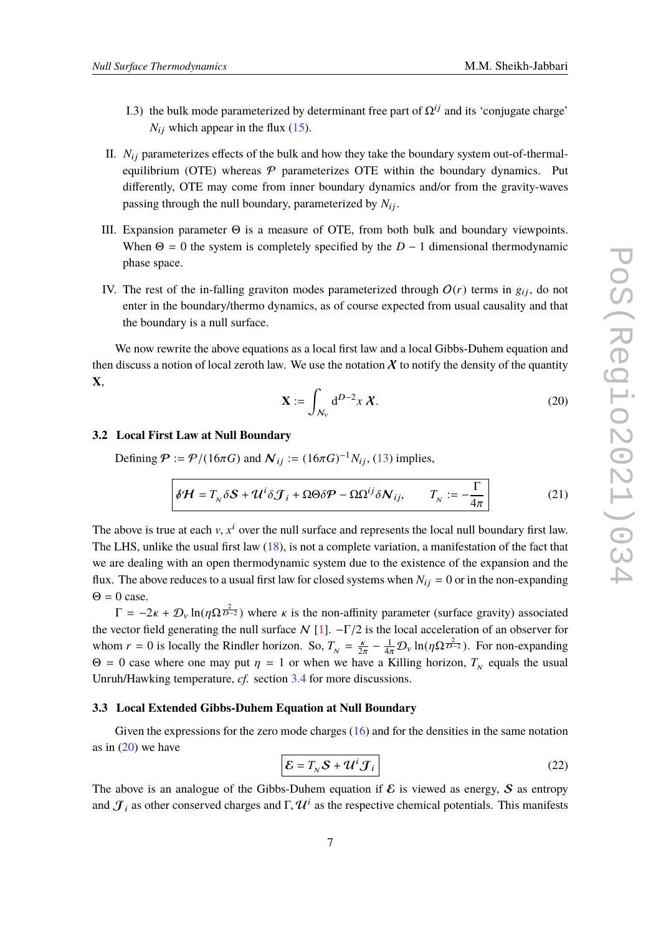- I.3) the bulk mode parameterized by determinant free part of  $\Omega^{ij}$  and its 'conjugate charge'  $N_{ij}$  which appear in the flux ([15](#page-4-2)).
- II.  $N_{ij}$  parameterizes effects of the bulk and how they take the boundary system out-of-thermalequilibrium (OTE) whereas  $P$  parameterizes OTE within the boundary dynamics. Put differently, OTE may come from inner boundary dynamics and/or from the gravity-waves passing through the null boundary, parameterized by  $N_{ij}$ .
- III. Expansion parameter Θ is a measure of OTE, from both bulk and boundary viewpoints. When  $\Theta = 0$  the system is completely specified by the  $D - 1$  dimensional thermodynamic phase space.
- IV. The rest of the in-falling graviton modes parameterized through  $O(r)$  terms in  $g_{ij}$ , do not enter in the boundary/thermo dynamics, as of course expected from usual causality and that the boundary is a null surface.

We now rewrite the above equations as a local first law and a local Gibbs-Duhem equation and then discuss a notion of local zeroth law. We use the notation  $X$  to notify the density of the quantity **X**,

<span id="page-6-0"></span>
$$
\mathbf{X} := \int_{\mathcal{N}_V} d^{D-2}x \, \mathcal{X}.\tag{20}
$$

#### **3.2 Local First Law at Null Boundary**

Defining  $P := P/(16\pi G)$  and  $N_{ij} := (16\pi G)^{-1} N_{ij}$ , ([13](#page-4-3)) implies,

<span id="page-6-2"></span>
$$
\delta \mathcal{H} = T_N \delta \mathcal{S} + \mathcal{U}^i \delta \mathcal{J}_i + \Omega \Theta \delta \mathcal{P} - \Omega \Omega^{ij} \delta \mathcal{N}_{ij}, \qquad T_N := -\frac{\Gamma}{4\pi} \tag{21}
$$

The above is true at each  $v, x<sup>i</sup>$  over the null surface and represents the local null boundary first law. The LHS, unlike the usual first law ([18\)](#page-5-0), is not a complete variation, a manifestation of the fact that we are dealing with an open thermodynamic system due to the existence of the expansion and the flux. The above reduces to a usual first law for closed systems when  $N_{ij} = 0$  or in the non-expanding  $\Theta = 0$  case.

 $\Gamma = -2\kappa + \mathcal{D}_{\nu} \ln(\eta \Omega \frac{2}{D-2})$  where  $\kappa$  is the non-affinity parameter (surface gravity) associated the vector field generating the null surface  $N$  [[1](#page-10-0)].  $-\Gamma/2$  is the local acceleration of an observer for whom  $r = 0$  is locally the Rindler horizon. So,  $T_N = \frac{k}{2}$  $\frac{\kappa}{2\pi} - \frac{1}{4\pi} \mathcal{D}_{v} \ln(\eta \Omega^{\frac{2}{D-2}})$ . For non-expanding Θ = 0 case where one may put  $η$  = 1 or when we have a Killing horizon,  $T_N$  equals the usual Unruh/Hawking temperature, *cf.* section [3.4](#page-7-0) for more discussions.

#### **3.3 Local Extended Gibbs-Duhem Equation at Null Boundary**

Given the expressions for the zero mode charges  $(16)$  $(16)$  and for the densities in the same notation as in  $(20)$  $(20)$  we have

<span id="page-6-1"></span>
$$
\mathcal{E} = T_N \mathcal{S} + \mathcal{U}^i \mathcal{J}_i
$$
 (22)

The above is an analogue of the Gibbs-Duhem equation if  $\mathcal E$  is viewed as energy,  $\mathcal S$  as entropy and  $\mathcal{J}_i$  as other conserved charges and  $\Gamma$ ,  $\mathcal{U}^i$  as the respective chemical potentials. This manifests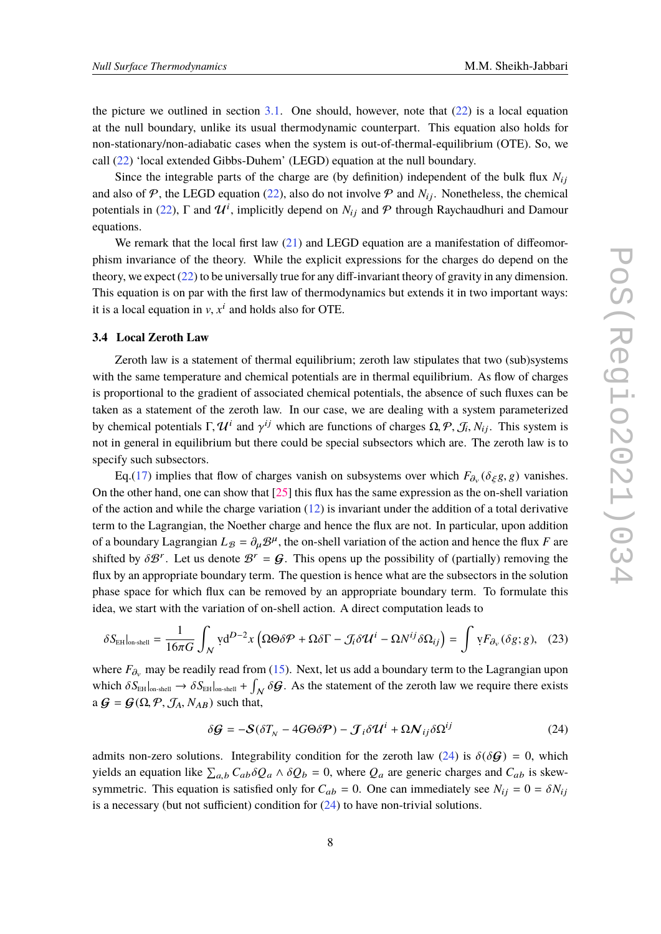the picture we outlined in section  $3.1$ . One should, however, note that  $(22)$  $(22)$  is a local equation at the null boundary, unlike its usual thermodynamic counterpart. This equation also holds for non-stationary/non-adiabatic cases when the system is out-of-thermal-equilibrium (OTE). So, we call [\(22](#page-6-1)) 'local extended Gibbs-Duhem' (LEGD) equation at the null boundary.

Since the integrable parts of the charge are (by definition) independent of the bulk flux  $N_{ij}$ and also of  $P$ , the LEGD equation ([22\)](#page-6-1), also do not involve  $P$  and  $N_{ij}$ . Nonetheless, the chemical potentials in [\(22](#page-6-1)),  $\Gamma$  and  $\mathcal{U}^i$ , implicitly depend on  $N_{ij}$  and  $\mathcal P$  through Raychaudhuri and Damour equations.

We remark that the local first law  $(21)$  $(21)$  and LEGD equation are a manifestation of diffeomorphism invariance of the theory. While the explicit expressions for the charges do depend on the theory, we expect ([22](#page-6-1)) to be universally true for any diff-invariant theory of gravity in any dimension. This equation is on par with the first law of thermodynamics but extends it in two important ways: it is a local equation in  $v, x^i$  and holds also for OTE.

#### <span id="page-7-0"></span>**3.4 Local Zeroth Law**

Zeroth law is a statement of thermal equilibrium; zeroth law stipulates that two (sub)systems with the same temperature and chemical potentials are in thermal equilibrium. As flow of charges is proportional to the gradient of associated chemical potentials, the absence of such fluxes can be taken as a statement of the zeroth law. In our case, we are dealing with a system parameterized by chemical potentials  $\Gamma, \mathcal{U}^i$  and  $\gamma^{ij}$  which are functions of charges  $\Omega, \mathcal{P}, \mathcal{J}_i, N_{ij}$ . This system is not in general in equilibrium but there could be special subsectors which are. The zeroth law is to specify such subsectors.

Eq.[\(17](#page-4-1)) implies that flow of charges vanish on subsystems over which  $F_{\partial_v}(\delta_{\xi}g, g)$  vanishes. On the other hand, one can show that [[25](#page-11-3)] this flux has the same expression as the on-shell variation of the action and while the charge variation ([12\)](#page-3-1) is invariant under the addition of a total derivative term to the Lagrangian, the Noether charge and hence the flux are not. In particular, upon addition of a boundary Lagrangian  $L_{\mathcal{B}} = \partial_{\mu} \mathcal{B}^{\mu}$ , the on-shell variation of the action and hence the flux *F* are shifted by  $\delta \mathcal{B}^r$ . Let us denote  $\mathcal{B}^r = \mathcal{G}$ . This opens up the possibility of (partially) removing the flux by an appropriate boundary term. The question is hence what are the subsectors in the solution phase space for which flux can be removed by an appropriate boundary term. To formulate this idea, we start with the variation of on-shell action. A direct computation leads to

$$
\delta S_{\text{EH}}|_{\text{on-shell}} = \frac{1}{16\pi G} \int_{N} \text{yd}^{D-2} x \left( \Omega \Theta \delta \mathcal{P} + \Omega \delta \Gamma - \mathcal{J}_{i} \delta \mathcal{U}^{i} - \Omega N^{ij} \delta \Omega_{ij} \right) = \int \text{y} F_{\partial_{\nu}} (\delta g; g), \quad (23)
$$

where  $F_{\partial_v}$  may be readily read from ([15\)](#page-4-2). Next, let us add a boundary term to the Lagrangian upon which  $\delta S_{\text{EH}}|_{\text{on-shell}} \to \delta S_{\text{EH}}|_{\text{on-shell}} + \int_{\mathcal{N}} \delta \mathcal{G}$ . As the statement of the zeroth law we require there exists a  $\mathcal{G} = \mathcal{G}(\Omega, \mathcal{P}, \mathcal{J}_A, N_{AB})$  such that,

<span id="page-7-1"></span>
$$
\delta \mathcal{G} = -\mathcal{S}(\delta T_N - 4G\Theta \delta \mathcal{P}) - \mathcal{J}_i \delta \mathcal{U}^i + \Omega \mathcal{N}_{ij} \delta \Omega^{ij} \tag{24}
$$

admits non-zero solutions. Integrability condition for the zeroth law ([24\)](#page-7-1) is  $\delta(\delta \mathcal{G}) = 0$ , which yields an equation like  $\sum_{a,b} C_{ab} \delta Q_a \wedge \delta Q_b = 0$ , where  $Q_a$  are generic charges and  $C_{ab}$  is skewsymmetric. This equation is satisfied only for  $C_{ab} = 0$ . One can immediately see  $N_{ij} = 0 = \delta N_{ij}$ is a necessary (but not sufficient) condition for  $(24)$  $(24)$  to have non-trivial solutions.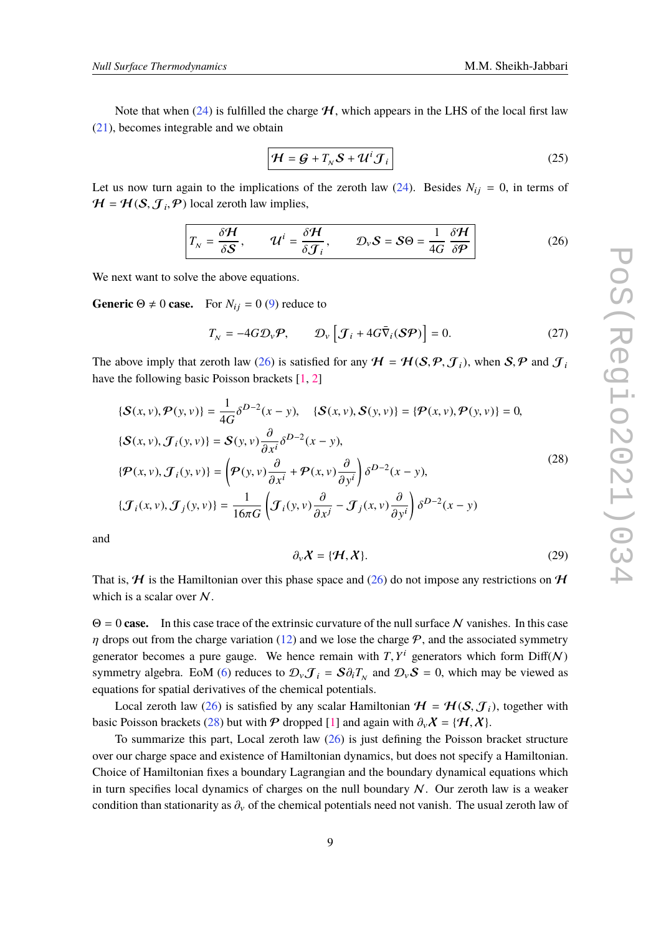Note that when [\(24\)](#page-7-1) is fulfilled the charge  $H$ , which appears in the LHS of the local first law ([21\)](#page-6-2), becomes integrable and we obtain

$$
\mathcal{H} = \mathcal{G} + T_N \mathcal{S} + \mathcal{U}^i \mathcal{J}_i
$$
 (25)

Let us now turn again to the implications of the zeroth law  $(24)$  $(24)$ . Besides  $N_{ij} = 0$ , in terms of  $H = H(S, \mathcal{J}_i, \mathcal{P})$  local zeroth law implies,

<span id="page-8-0"></span>
$$
T_{N} = \frac{\delta \mathcal{H}}{\delta \mathcal{S}}, \qquad \mathcal{U}^{i} = \frac{\delta \mathcal{H}}{\delta \mathcal{J}_{i}}, \qquad \mathcal{D}_{V} \mathcal{S} = \mathcal{S} \Theta = \frac{1}{4G} \frac{\delta \mathcal{H}}{\delta \mathcal{P}}
$$
(26)

We next want to solve the above equations.

**Generic**  $\Theta \neq 0$  **case.** For  $N_{ij} = 0$  [\(9\)](#page-3-0) reduce to

$$
T_{N} = -4G\mathcal{D}_{V}\mathcal{P}, \qquad \mathcal{D}_{V}\left[\mathcal{J}_{i} + 4G\bar{\nabla}_{i}(\mathcal{S}\mathcal{P})\right] = 0. \tag{27}
$$

The above imply that zeroth law ([26\)](#page-8-0) is satisfied for any  $H = H(S, \mathcal{P}, \mathcal{J}_i)$ , when  $S, \mathcal{P}$  and  $\mathcal{J}_i$ have the following basic Poisson brackets [\[1,](#page-10-0) [2\]](#page-10-1)

<span id="page-8-1"></span>
$$
\{\mathcal{S}(x, v), \mathcal{P}(y, v)\} = \frac{1}{4G} \delta^{D-2}(x - y), \quad \{\mathcal{S}(x, v), \mathcal{S}(y, v)\} = \{\mathcal{P}(x, v), \mathcal{P}(y, v)\} = 0,
$$
  

$$
\{\mathcal{S}(x, v), \mathcal{J}_i(y, v)\} = \mathcal{S}(y, v) \frac{\partial}{\partial x^i} \delta^{D-2}(x - y),
$$
  

$$
\{\mathcal{P}(x, v), \mathcal{J}_i(y, v)\} = \left(\mathcal{P}(y, v) \frac{\partial}{\partial x^i} + \mathcal{P}(x, v) \frac{\partial}{\partial y^i}\right) \delta^{D-2}(x - y),
$$
  

$$
\{\mathcal{J}_i(x, v), \mathcal{J}_j(y, v)\} = \frac{1}{16\pi G} \left(\mathcal{J}_i(y, v) \frac{\partial}{\partial x^j} - \mathcal{J}_j(x, v) \frac{\partial}{\partial y^i}\right) \delta^{D-2}(x - y)
$$
 (28)

and

$$
\partial_{\nu} \mathcal{X} = \{ \mathcal{H}, \mathcal{X} \}. \tag{29}
$$

That is,  $H$  is the Hamiltonian over this phase space and [\(26](#page-8-0)) do not impose any restrictions on  $H$ which is a scalar over  $N$ .

 $\Theta = 0$  **case.** In this case trace of the extrinsic curvature of the null surface N vanishes. In this case  $\eta$  drops out from the charge variation ([12\)](#page-3-1) and we lose the charge  $P$ , and the associated symmetry generator becomes a pure gauge. We hence remain with  $T$ ,  $Y^i$  generators which form  $\text{Diff}(N)$ symmetry algebra. EoM [\(6\)](#page-2-0) reduces to  $\mathcal{D}_{\nu} \mathcal{J}_i = S \partial_i T_{N}$  and  $\mathcal{D}_{\nu} S = 0$ , which may be viewed as equations for spatial derivatives of the chemical potentials.

Local zeroth law [\(26](#page-8-0)) is satisfied by any scalar Hamiltonian  $\mathcal{H} = \mathcal{H}(\mathcal{S}, \mathcal{J}_i)$ , together with basic Poisson brackets [\(28](#page-8-1)) but with  $P$  dropped [\[1\]](#page-10-0) and again with  $\partial_{\nu}X = \{H, X\}$ .

To summarize this part, Local zeroth law  $(26)$  $(26)$  is just defining the Poisson bracket structure over our charge space and existence of Hamiltonian dynamics, but does not specify a Hamiltonian. Choice of Hamiltonian fixes a boundary Lagrangian and the boundary dynamical equations which in turn specifies local dynamics of charges on the null boundary  $N$ . Our zeroth law is a weaker condition than stationarity as  $\partial_{\nu}$  of the chemical potentials need not vanish. The usual zeroth law of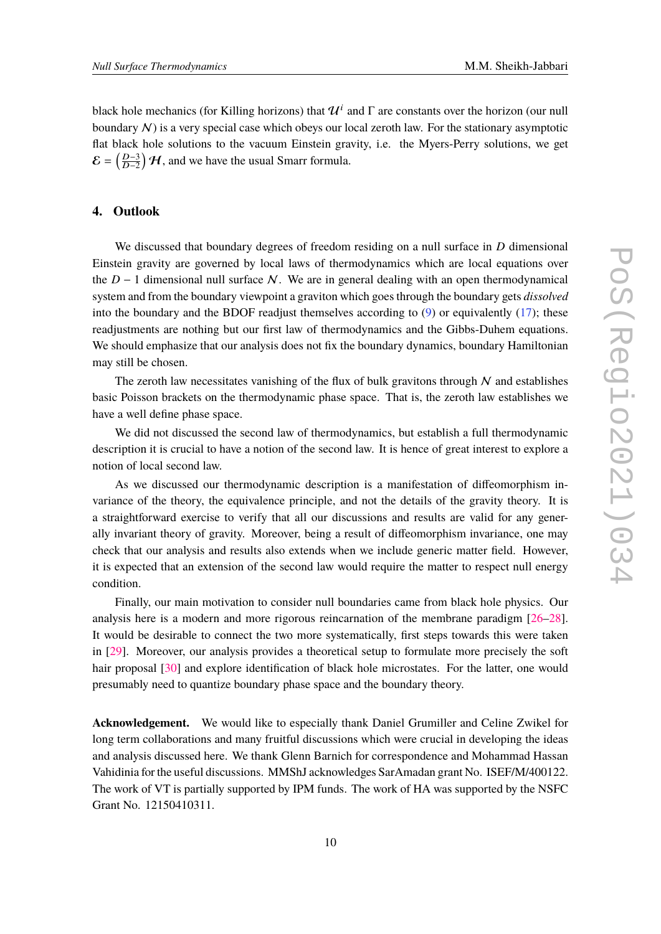black hole mechanics (for Killing horizons) that  $\mathcal{U}^i$  and  $\Gamma$  are constants over the horizon (our null boundary  $N$ ) is a very special case which obeys our local zeroth law. For the stationary asymptotic flat black hole solutions to the vacuum Einstein gravity, i.e. the Myers-Perry solutions, we get  $\mathcal{E} = \left(\frac{D-3}{D-2}\right)$  $\left(\frac{D-3}{D-2}\right)$  H, and we have the usual Smarr formula.

### **4. Outlook**

We discussed that boundary degrees of freedom residing on a null surface in *D* dimensional Einstein gravity are governed by local laws of thermodynamics which are local equations over the  $D - 1$  dimensional null surface N. We are in general dealing with an open thermodynamical system and from the boundary viewpoint a graviton which goes through the boundary gets *dissolved* into the boundary and the BDOF readjust themselves according to  $(9)$  or equivalently  $(17)$  $(17)$ ; these readjustments are nothing but our first law of thermodynamics and the Gibbs-Duhem equations. We should emphasize that our analysis does not fix the boundary dynamics, boundary Hamiltonian may still be chosen.

The zeroth law necessitates vanishing of the flux of bulk gravitons through  $N$  and establishes basic Poisson brackets on the thermodynamic phase space. That is, the zeroth law establishes we have a well define phase space.

We did not discussed the second law of thermodynamics, but establish a full thermodynamic description it is crucial to have a notion of the second law. It is hence of great interest to explore a notion of local second law.

As we discussed our thermodynamic description is a manifestation of diffeomorphism invariance of the theory, the equivalence principle, and not the details of the gravity theory. It is a straightforward exercise to verify that all our discussions and results are valid for any generally invariant theory of gravity. Moreover, being a result of diffeomorphism invariance, one may check that our analysis and results also extends when we include generic matter field. However, it is expected that an extension of the second law would require the matter to respect null energy condition.

Finally, our main motivation to consider null boundaries came from black hole physics. Our analysis here is a modern and more rigorous reincarnation of the membrane paradigm [\[26](#page-11-4)–[28\]](#page-11-5). It would be desirable to connect the two more systematically, first steps towards this were taken in [[29\]](#page-11-6). Moreover, our analysis provides a theoretical setup to formulate more precisely the soft hair proposal [\[30](#page-11-7)] and explore identification of black hole microstates. For the latter, one would presumably need to quantize boundary phase space and the boundary theory.

**Acknowledgement.** We would like to especially thank Daniel Grumiller and Celine Zwikel for long term collaborations and many fruitful discussions which were crucial in developing the ideas and analysis discussed here. We thank Glenn Barnich for correspondence and Mohammad Hassan Vahidinia for the useful discussions. MMShJ acknowledges SarAmadan grant No. ISEF/M/400122. The work of VT is partially supported by IPM funds. The work of HA was supported by the NSFC Grant No. 12150410311.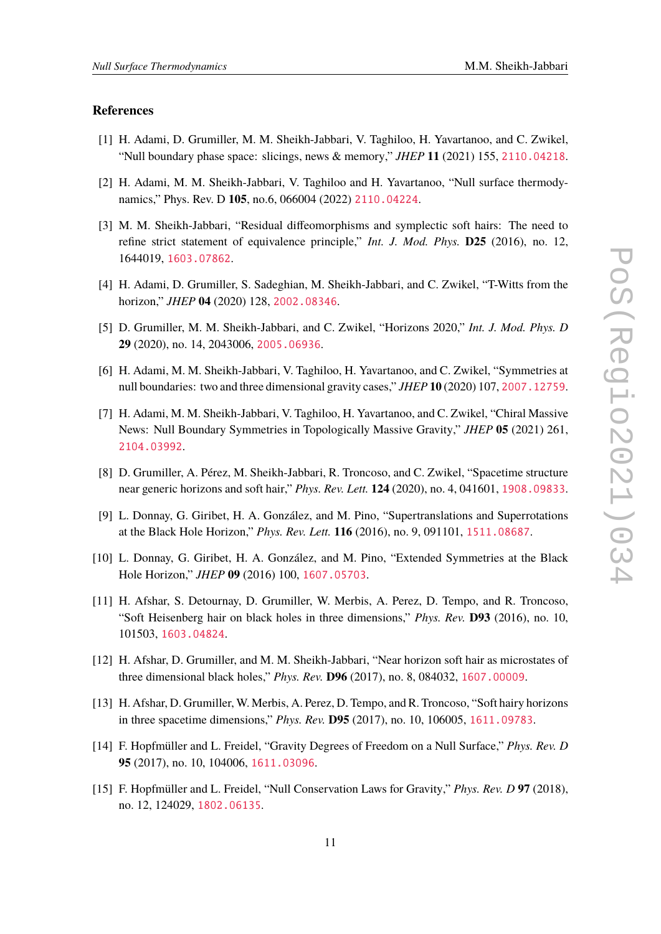#### **References**

- <span id="page-10-0"></span>[1] H. Adami, D. Grumiller, M. M. Sheikh-Jabbari, V. Taghiloo, H. Yavartanoo, and C. Zwikel, "Null boundary phase space: slicings, news & memory," *JHEP* **11** (2021) 155, [2110.04218](http://www.arXiv.org/abs/2110.04218).
- <span id="page-10-1"></span>[2] H. Adami, M. M. Sheikh-Jabbari, V. Taghiloo and H. Yavartanoo, "Null surface thermodynamics," Phys. Rev. D **105**, no.6, 066004 (2022) [2110.04224](http://www.arXiv.org/abs/2110.04224).
- <span id="page-10-2"></span>[3] M. M. Sheikh-Jabbari, "Residual diffeomorphisms and symplectic soft hairs: The need to refine strict statement of equivalence principle," *Int. J. Mod. Phys.* **D25** (2016), no. 12, 1644019, [1603.07862](http://www.arXiv.org/abs/1603.07862).
- <span id="page-10-3"></span>[4] H. Adami, D. Grumiller, S. Sadeghian, M. Sheikh-Jabbari, and C. Zwikel, "T-Witts from the horizon," *JHEP* **04** (2020) 128, [2002.08346](http://www.arXiv.org/abs/2002.08346).
- [5] D. Grumiller, M. M. Sheikh-Jabbari, and C. Zwikel, "Horizons 2020," *Int. J. Mod. Phys. D* **29** (2020), no. 14, 2043006, [2005.06936](http://www.arXiv.org/abs/2005.06936).
- [6] H. Adami, M. M. Sheikh-Jabbari, V. Taghiloo, H. Yavartanoo, and C. Zwikel, "Symmetries at null boundaries: two and three dimensional gravity cases," *JHEP* **10** (2020) 107, [2007.12759](http://www.arXiv.org/abs/2007.12759).
- <span id="page-10-4"></span>[7] H. Adami, M. M. Sheikh-Jabbari, V. Taghiloo, H. Yavartanoo, and C. Zwikel, "Chiral Massive News: Null Boundary Symmetries in Topologically Massive Gravity," *JHEP* **05** (2021) 261, [2104.03992](http://www.arXiv.org/abs/2104.03992).
- <span id="page-10-5"></span>[8] D. Grumiller, A. Pérez, M. Sheikh-Jabbari, R. Troncoso, and C. Zwikel, "Spacetime structure near generic horizons and soft hair," *Phys. Rev. Lett.* **124** (2020), no. 4, 041601, [1908.09833](http://www.arXiv.org/abs/1908.09833).
- [9] L. Donnay, G. Giribet, H. A. González, and M. Pino, "Supertranslations and Superrotations at the Black Hole Horizon," *Phys. Rev. Lett.* **116** (2016), no. 9, 091101, [1511.08687](http://www.arXiv.org/abs/1511.08687).
- [10] L. Donnay, G. Giribet, H. A. González, and M. Pino, "Extended Symmetries at the Black Hole Horizon," *JHEP* **09** (2016) 100, [1607.05703](http://www.arXiv.org/abs/1607.05703).
- [11] H. Afshar, S. Detournay, D. Grumiller, W. Merbis, A. Perez, D. Tempo, and R. Troncoso, "Soft Heisenberg hair on black holes in three dimensions," *Phys. Rev.* **D93** (2016), no. 10, 101503, [1603.04824](http://www.arXiv.org/abs/1603.04824).
- [12] H. Afshar, D. Grumiller, and M. M. Sheikh-Jabbari, "Near horizon soft hair as microstates of three dimensional black holes," *Phys. Rev.* **D96** (2017), no. 8, 084032, [1607.00009](http://www.arXiv.org/abs/1607.00009).
- [13] H. Afshar, D. Grumiller, W. Merbis, A. Perez, D. Tempo, and R. Troncoso, "Soft hairy horizons in three spacetime dimensions," *Phys. Rev.* **D95** (2017), no. 10, 106005, [1611.09783](http://www.arXiv.org/abs/1611.09783).
- [14] F. Hopfmüller and L. Freidel, "Gravity Degrees of Freedom on a Null Surface," *Phys. Rev. D* **95** (2017), no. 10, 104006, [1611.03096](http://www.arXiv.org/abs/1611.03096).
- [15] F. Hopfmüller and L. Freidel, "Null Conservation Laws for Gravity," *Phys. Rev. D* **97** (2018), no. 12, 124029, [1802.06135](http://www.arXiv.org/abs/1802.06135).